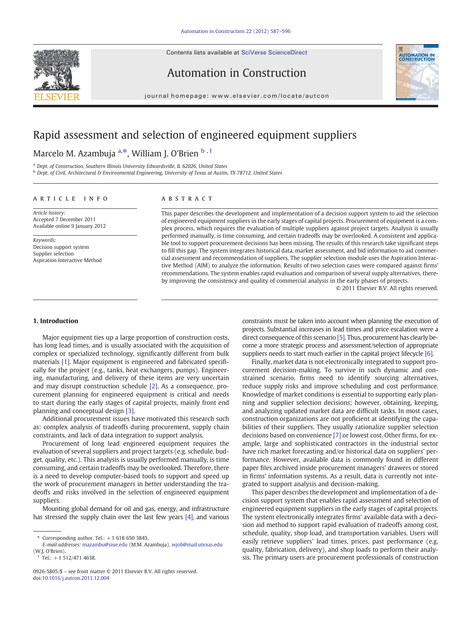Contents lists available at SciVerse ScienceDirect





Automation in Construction

journal homepage: www.elsevier.com/locate/autcon

# Rapid assessment and selection of engineered equipment suppliers

## Marcelo M. Azambuja <sup>a,\*</sup>, William J. O'Brien <sup>b , 1</sup>

<sup>a</sup> Dept. of Construction, Southern Illinois University Edwardsville, IL 62026, United States

b Dept. of Civil, Architectural & Environmental Engineering, University of Texas at Austin, TX 78712, United States

#### article info abstract

Article history: Accepted 7 December 2011 Available online 9 January 2012

Keywords: Decision support system Supplier selection Aspiration Interactive Method

This paper describes the development and implementation of a decision support system to aid the selection of engineered equipment suppliers in the early stages of capital projects. Procurement of equipment is a complex process, which requires the evaluation of multiple suppliers against project targets. Analysis is usually performed manually, is time consuming, and certain tradeoffs may be overlooked. A consistent and applicable tool to support procurement decisions has been missing. The results of this research take significant steps to fill this gap. The system integrates historical data, market assessment, and bid information to aid commercial assessment and recommendation of suppliers. The supplier selection module uses the Aspiration Interactive Method (AIM) to analyze the information. Results of two selection cases were compared against firms' recommendations. The system enables rapid evaluation and comparison of several supply alternatives, thereby improving the consistency and quality of commercial analysis in the early phases of projects.

© 2011 Elsevier B.V. All rights reserved.

### 1. Introduction

Major equipment ties up a large proportion of construction costs, has long lead times, and is usually associated with the acquisition of complex or specialized technology, significantly different from bulk materials [\[1\]](#page--1-0). Major equipment is engineered and fabricated specifically for the project (e.g., tanks, heat exchangers, pumps). Engineering, manufacturing, and delivery of these items are very uncertain and may disrupt construction schedule [\[2\].](#page--1-0) As a consequence, procurement planning for engineered equipment is critical and needs to start during the early stages of capital projects, mainly front end planning and conceptual design [\[3\]](#page--1-0).

Additional procurement issues have motivated this research such as: complex analysis of tradeoffs during procurement, supply chain constraints, and lack of data integration to support analysis.

Procurement of long lead engineered equipment requires the evaluation of several suppliers and project targets (e.g. schedule, budget, quality, etc.). This analysis is usually performed manually, is time consuming, and certain tradeoffs may be overlooked. Therefore, there is a need to develop computer-based tools to support and speed up the work of procurement managers in better understanding the tradeoffs and risks involved in the selection of engineered equipment suppliers.

Mounting global demand for oil and gas, energy, and infrastructure has stressed the supply chain over the last few years [\[4\]](#page--1-0), and various

Tel.:  $+1$  512/471 4638.

constraints must be taken into account when planning the execution of projects. Substantial increases in lead times and price escalation were a direct consequence of this scenario [\[5\].](#page--1-0) Thus, procurement has clearly become a more strategic process and assessment/selection of appropriate suppliers needs to start much earlier in the capital project lifecycle [\[6\]](#page--1-0).

Finally, market data is not electronically integrated to support procurement decision-making. To survive in such dynamic and constrained scenario, firms need to identify sourcing alternatives, reduce supply risks and improve scheduling and cost performance. Knowledge of market conditions is essential to supporting early planning and supplier selection decisions; however, obtaining, keeping, and analyzing updated market data are difficult tasks. In most cases, construction organizations are not proficient at identifying the capabilities of their suppliers. They usually rationalize supplier selection decisions based on convenience [\[7\]](#page--1-0) or lowest cost. Other firms, for example, large and sophisticated contractors in the industrial sector have rich market forecasting and/or historical data on suppliers' performance. However, available data is commonly found in different paper files archived inside procurement managers' drawers or stored in firms' information systems. As a result, data is currently not integrated to support analysis and decision-making.

This paper describes the development and implementation of a decision support system that enables rapid assessment and selection of engineered equipment suppliers in the early stages of capital projects. The system electronically integrates firms' available data with a decision aid method to support rapid evaluation of tradeoffs among cost, schedule, quality, shop load, and transportation variables. Users will easily retrieve suppliers' lead times, prices, past performance (e.g. quality, fabrication, delivery), and shop loads to perform their analysis. The primary users are procurement professionals of construction

 $*$  Corresponding author. Tel.:  $+1$  618 650 3845.

E-mail addresses: [mazambu@siue.edu](mailto:mazambu@siue.edu) (M.M. Azambuja), [wjob@mail.utexas.edu](mailto:wjob@mail.utexas.edu) (W.J. O'Brien).

<sup>0926-5805/\$</sup> – see front matter © 2011 Elsevier B.V. All rights reserved. doi:[10.1016/j.autcon.2011.12.004](http://dx.doi.org/10.1016/j.autcon.2011.12.004)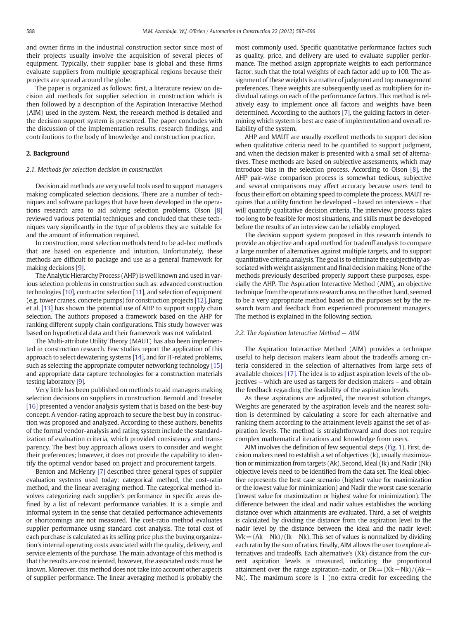and owner firms in the industrial construction sector since most of their projects usually involve the acquisition of several pieces of equipment. Typically, their supplier base is global and these firms evaluate suppliers from multiple geographical regions because their projects are spread around the globe.

The paper is organized as follows: first, a literature review on decision aid methods for supplier selection in construction which is then followed by a description of the Aspiration Interactive Method (AIM) used in the system. Next, the research method is detailed and the decision support system is presented. The paper concludes with the discussion of the implementation results, research findings, and contributions to the body of knowledge and construction practice.

#### 2. Background

#### 2.1. Methods for selection decision in construction

Decision aid methods are very useful tools used to support managers making complicated selection decisions. There are a number of techniques and software packages that have been developed in the operations research area to aid solving selection problems. Olson [\[8\]](#page--1-0) reviewed various potential techniques and concluded that these techniques vary significantly in the type of problems they are suitable for and the amount of information required.

In construction, most selection methods tend to be ad-hoc methods that are based on experience and intuition. Unfortunately, these methods are difficult to package and use as a general framework for making decisions [\[9\]](#page--1-0).

The Analytic Hierarchy Process (AHP) is well known and used in various selection problems in construction such as: advanced construction technologies [\[10\],](#page--1-0) contractor selection [\[11\],](#page--1-0) and selection of equipment (e.g. tower cranes, concrete pumps) for construction projects [\[12\].](#page--1-0) Jiang et al. [\[13\]](#page--1-0) has shown the potential use of AHP to support supply chain selection. The authors proposed a framework based on the AHP for ranking different supply chain configurations. This study however was based on hypothetical data and their framework was not validated.

The Multi-attribute Utility Theory (MAUT) has also been implemented in construction research. Few studies report the application of this approach to select dewatering systems [\[14\]](#page--1-0), and for IT-related problems, such as selecting the appropriate computer networking technology [\[15\]](#page--1-0) and appropriate data capture technologies for a construction materials testing laboratory [\[9\].](#page--1-0)

Very little has been published on methods to aid managers making selection decisions on suppliers in construction. Bernold and Treseler [\[16\]](#page--1-0) presented a vendor analysis system that is based on the best-buy concept. A vendor-rating approach to secure the best buy in construction was proposed and analyzed. According to these authors, benefits of the formal vendor-analysis and rating system include the standardization of evaluation criteria, which provided consistency and transparency. The best buy approach allows users to consider and weight their preferences; however, it does not provide the capability to identify the optimal vendor based on project and procurement targets.

Benton and McHenry [\[7\]](#page--1-0) described three general types of supplier evaluation systems used today: categorical method, the cost-ratio method, and the linear averaging method. The categorical method involves categorizing each supplier's performance in specific areas defined by a list of relevant performance variables. It is a simple and informal system in the sense that detailed performance achievements or shortcomings are not measured. The cost-ratio method evaluates supplier performance using standard cost analysis. The total cost of each purchase is calculated as its selling price plus the buying organization's internal operating costs associated with the quality, delivery, and service elements of the purchase. The main advantage of this method is that the results are cost oriented, however, the associated costs must be known. Moreover, this method does not take into account other aspects of supplier performance. The linear averaging method is probably the

most commonly used. Specific quantitative performance factors such as quality, price, and delivery are used to evaluate supplier performance. The method assign appropriate weights to each performance factor, such that the total weights of each factor add up to 100. The assignment of these weights is a matter of judgment and top management preferences. These weights are subsequently used as multipliers for individual ratings on each of the performance factors. This method is relatively easy to implement once all factors and weights have been determined. According to the authors [\[7\]](#page--1-0), the guiding factors in determining which system is best are ease of implementation and overall reliability of the system.

AHP and MAUT are usually excellent methods to support decision when qualitative criteria need to be quantified to support judgment, and when the decision maker is presented with a small set of alternatives. These methods are based on subjective assessments, which may introduce bias in the selection process. According to Olson [\[8\],](#page--1-0) the AHP pair-wise comparison process is somewhat tedious, subjective and several comparisons may affect accuracy because users tend to focus their effort on obtaining speed to complete the process. MAUT requires that a utility function be developed – based on interviews – that will quantify qualitative decision criteria. The interview process takes too long to be feasible for most situations, and skills must be developed before the results of an interview can be reliably employed.

The decision support system proposed in this research intends to provide an objective and rapid method for tradeoff analysis to compare a large number of alternatives against multiple targets, and to support quantitative criteria analysis. The goal is to eliminate the subjectivity associated with weight assignment and final decision making. None of the methods previously described properly support these purposes, especially the AHP. The Aspiration Interactive Method (AIM), an objective technique from the operations research area, on the other hand, seemed to be a very appropriate method based on the purposes set by the research team and feedback from experienced procurement managers. The method is explained in the following section.

#### 2.2. The Aspiration Interactive Method — AIM

The Aspiration Interactive Method (AIM) provides a technique useful to help decision makers learn about the tradeoffs among criteria considered in the selection of alternatives from large sets of available choices [\[17\]](#page--1-0). The idea is to adjust aspiration levels of the objectives – which are used as targets for decision makers – and obtain the feedback regarding the feasibility of the aspiration levels.

As these aspirations are adjusted, the nearest solution changes. Weights are generated by the aspiration levels and the nearest solution is determined by calculating a score for each alternative and ranking them according to the attainment levels against the set of aspiration levels. The method is straightforward and does not require complex mathematical iterations and knowledge from users.

AIM involves the definition of few sequential steps ([Fig. 1\)](#page--1-0). First, decision makers need to establish a set of objectives (k), usually maximization or minimization from targets (Ak). Second, Ideal (Ik) and Nadir (Nk) objective levels need to be identified from the data set. The Ideal objective represents the best case scenario (highest value for maximization or the lowest value for minimization) and Nadir the worst case scenario (lowest value for maximization or highest value for minimization). The difference between the ideal and nadir values establishes the working distance over which attainments are evaluated. Third, a set of weights is calculated by dividing the distance from the aspiration level to the nadir level by the distance between the ideal and the nadir level: Wk = (Ak – Nk) / (Ik – Nk). This set of values is normalized by dividing each ratio by the sum of ratios. Finally, AIM allows the user to explore alternatives and tradeoffs. Each alternative's (Xk) distance from the current aspiration levels is measured, indicating the proportional attainment over the range aspiration–nadir, or  $Dk=(Xk-Nk)/(Ak-$ Nk). The maximum score is 1 (no extra credit for exceeding the